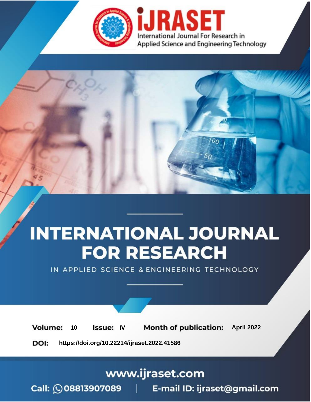

# **INTERNATIONAL JOURNAL FOR RESEARCH**

IN APPLIED SCIENCE & ENGINEERING TECHNOLOGY

10 **Issue: IV Month of publication:** April 2022 **Volume:** 

**https://doi.org/10.22214/ijraset.2022.41586**DOI:

www.ijraset.com

Call: 008813907089 | E-mail ID: ijraset@gmail.com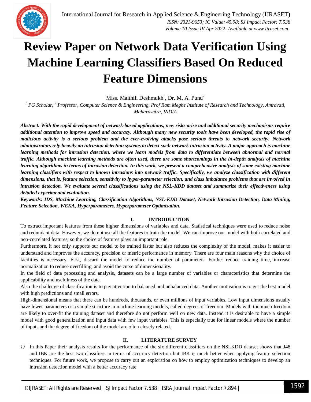

### **Review Paper on Network Data Verification Using Machine Learning Classifiers Based On Reduced Feature Dimensions**

Miss. Maithili Deshmukh<sup>1</sup>, Dr. M. A. Pund<sup>2</sup>

*<sup>1</sup> PG Scholar, <sup>2</sup> Professor, Computer Science & Engineering, Prof Ram Meghe Institute of Research and Technology, Amravati, Maharashtra, INDIA*

*Abstract: With the rapid development of network-based applications, new risks arise and additional security mechanisms require additional attention to improve speed and accuracy. Although many new security tools have been developed, the rapid rise of malicious activity is a serious problem and the ever-evolving attacks pose serious threats to network security. Network administrators rely heavily on intrusion detection systems to detect such network intrusion activity. A major approach is machine*  learning methods for intrusion detection, where we learn models from data to differentiate between abnormal and normal *traffic. Although machine learning methods are often used, there are some shortcomings in the in-depth analysis of machine learning algorithms in terms of intrusion detection. In this work, we present a comprehensive analysis of some existing machine learning classifiers with respect to known intrusions into network traffic. Specifically, we analyze classification with different dimensions, that is, feature selection, sensitivity to hyper-parameter selection, and class imbalance problems that are involved in intrusion detection. We evaluate several classifications using the NSL-KDD dataset and summarize their effectiveness using detailed experimental evaluation.*

*Keywords: IDS, Machine Learning, Classification Algorithms, NSL-KDD Dataset, Network Intrusion Detection, Data Mining, Feature Selection, WEKA, Hyperparameters, Hyperparameter Optimization.*

#### **I. INTRODUCTION**

To extract important features from these higher dimensions of variables and data. Statistical techniques were used to reduce noise and redundant data. However, we do not use all the features to train the model. We can improve our model with both correlated and non-correlated features, so the choice of features plays an important role.

Furthermore, it not only supports our model to be trained faster but also reduces the complexity of the model, makes it easier to understand and improves the accuracy, precision or metric performance in memory. There are four main reasons why the choice of facilities is necessary. First, discard the model to reduce the number of parameters. Further reduce training time, increase normalization to reduce overfilling, and avoid the curse of dimensionality.

In the field of data processing and analysis, datasets can be a large number of variables or characteristics that determine the applicability and usefulness of the data.

Also the challenge of classification is to pay attention to balanced and unbalanced data. Another motivation is to get the best model with high predictions and small errors.

High-dimensional means that there can be hundreds, thousands, or even millions of input variables. Low input dimensions usually have fewer parameters or a simple structure in machine learning models, called degrees of freedom. Models with too much freedom are likely to over-fit the training dataset and therefore do not perform well on new data. Instead it is desirable to have a simple model with good generalization and input data with few input variables. This is especially true for linear models where the number of inputs and the degree of freedom of the model are often closely related.

#### **II. LITERATURE SURVEY**

*1)* In this Paper their analysis results for the performance of the six different classifiers on the NSLKDD dataset shows that J48 and IBK are the best two classifiers in terms of accuracy detection but IBK is much better when applying feature selection techniques. For future work, we propose to carry out an exploration on how to employ optimization techniques to develop an intrusion detection model with a better accuracy rate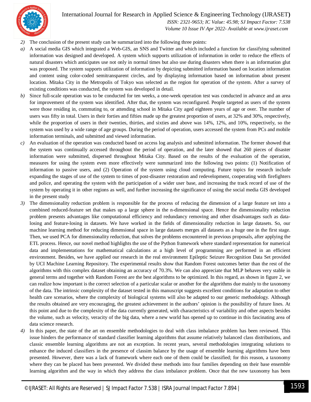

International Journal for Research in Applied Science & Engineering Technology (IJRASET**)**

 *ISSN: 2321-9653; IC Value: 45.98; SJ Impact Factor: 7.538 Volume 10 Issue IV Apr 2022- Available at www.ijraset.com*

- *2)* The conclusion of the present study can be summarized into the following three points:
- *a)* A social media GIS which integrated a Web-GIS, an SNS and Twitter and which included a function for classifying submitted information was designed and developed. A system which supports utilization of information in order to reduce the effects of natural disasters which anticipates use not only in normal times but also use during disasters when there is an information glut was proposed. The system supports utilization of information by depicting submitted information based on location information and content using color-coded semitransparent circles, and by displaying information based on information about present location. Mitaka City in the Metropolis of Tokyo was selected as the region for operation of the system. After a survey of existing conditions was conducted, the system was developed in detail.
- *b)* Since full-scale operation was to be conducted for ten weeks, a one-week operation test was conducted in advance and an area for improvement of the system was identified. After that, the system was reconfigured. People targeted as users of the system were those residing in, commuting to, or attending school in Mitaka City aged eighteen years of age or over. The number of users was fifty in total. Users in their forties and fifties made up the greatest proportion of users, at 32% and 30%, respectively, while the proportion of users in their twenties, thirties, and sixties and above was 14%, 12%, and 10%, respectively, so the system was used by a wide range of age groups. During the period of operation, users accessed the system from PCs and mobile information terminals, and submitted and viewed information.
- *c)* An evaluation of the operation was conducted based on access log analysis and submitted information. The former showed that the system was continually accessed throughout the period of operation, and the later showed that 260 pieces of disaster information were submitted, dispersed throughout Mitaka City. Based on the results of the evaluation of the operation, measures for using the system even more effectively were summarized into the following two points: (1) Notification of information to passive users, and (2) Operation of the system using cloud computing. Future topics for research include expanding the stages of use of the system to times of post-disaster restoration and redevelopment, cooperating with firefighters and police, and operating the system with the participation of a wider user base, and increasing the track record of use of the system by operating it in other regions as well, and further increasing the significance of using the social media GIS developed in the present study
- *3)* The dimensionality reduction problem is responsible for the process of reducing the dimension of a large feature set into a combined reduced-feature set that makes up a large sphere in the n-dimensional space. Hence the dimensionality reduction problem presents advantages like computational efficiency and redundancy removing and other disadvantages such as datalosing and feature-losing in datasets. We have worked in the fields of dimensionality reduction in large datasets. So, our machine learning method for reducing dimensional space in large datasets merges all datasets as a huge one in the first stage. Then, we used PCA for dimensionality reduction, that solves the problems encountered in previous proposals, after applying the ETL process. Hence, our novel method highlights the use of the Python framework where standard representation for numerical data and implementations for mathematical calculations at a high level of programming are performed in an efficient environment. Besides, we have applied our research in the real environment Epileptic Seizure Recognition Data Set provided by UCI Machine Learning Repository. The experimental results show that Random Forest outcomes better than the rest of the algorithms with this complex dataset obtaining an accuracy of 70.3%. We can also appreciate that MLP behaves very stable in general terms and together with Random Forest are the best algorithms to be optimized. In this regard, as shown in figure 2, we can realize how important is the correct selection of a particular scalar or another for the algorithms due mainly to the taxonomy of the data. The intrinsic complexity of the dataset tested in this manuscript suggests excellent conditions for adaptation to other health care scenarios, where the complexity of biological systems will also be adapted to our generic methodology. Although the results obtained are very encouraging, the greatest achievement in the authors' opinion is the possibility of future lines. At this point and due to the complexity of the data currently generated, with characteristics of variability and other aspects besides the volume, such as velocity, veracity of the big data, where a new world has opened up to continue in this fascinating area of data science research.
- *4)* In this paper, the state of the art on ensemble methodologies to deal with class imbalance problem has been reviewed. This issue hinders the performance of standard classifier learning algorithms that assume relatively balanced class distributions, and classic ensemble learning algorithms are not an exception. In recent years, several methodologies integrating solutions to enhance the induced classifiers in the presence of classim balance by the usage of ensemble learning algorithms have been presented. However, there was a lack of framework where each one of them could be classified; for this reason, a taxonomy where they can be placed has been presented. We divided these methods into four families depending on their base ensemble learning algorithm and the way in which they address the class imbalance problem. Once that the new taxonomy has been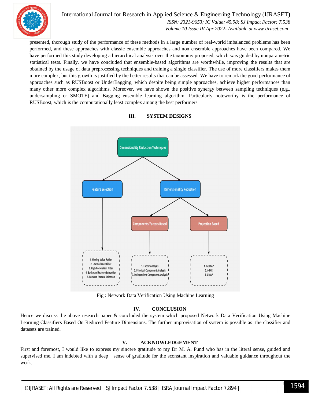

International Journal for Research in Applied Science & Engineering Technology (IJRASET**)**  *ISSN: 2321-9653; IC Value: 45.98; SJ Impact Factor: 7.538 Volume 10 Issue IV Apr 2022- Available at www.ijraset.com*

presented, thorough study of the performance of these methods in a large number of real-world imbalanced problems has been performed, and these approaches with classic ensemble approaches and non ensemble approaches have been compared. We have performed this study developing a hierarchical analysis over the taxonomy proposed, which was guided by nonparametric statistical tests. Finally, we have concluded that ensemble-based algorithms are worthwhile, improving the results that are obtained by the usage of data preprocessing techniques and training a single classifier. The use of more classifiers makes them more complex, but this growth is justified by the better results that can be assessed. We have to remark the good performance of approaches such as RUSBoost or UnderBagging, which despite being simple approaches, achieve higher performances than many other more complex algorithms. Moreover, we have shown the positive synergy between sampling techniques (e.g., undersampling or SMOTE) and Bagging ensemble learning algorithm. Particularly noteworthy is the performance of RUSBoost, which is the computationally least complex among the best performers



#### **III. SYSTEM DESIGNS**

Fig : Network Data Verification Using Machine Learning

#### **IV. CONCLUSION**

Hence we discuss the above research paper & concluded the system which proposed Network Data Verification Using Machine Learning Classifiers Based On Reduced Feature Dimensions. The further improvisation of system is possible as the classifier and datasets are trained.

#### **V. ACKNOWLEDGEMENT**

First and foremost, I would like to express my sincere gratitude to my Dr M. A. Pund who has in the literal sense, guided and supervised me. I am indebted with a deep sense of gratitude for the sconstant inspiration and valuable guidance throughout the work.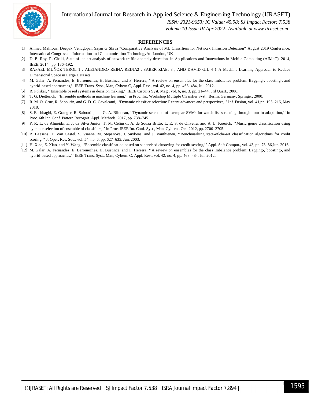International Journal for Research in Applied Science & Engineering Technology (IJRASET**)**



 *ISSN: 2321-9653; IC Value: 45.98; SJ Impact Factor: 7.538*

 *Volume 10 Issue IV Apr 2022- Available at www.ijraset.com*

#### **REFERENCES**

- [1] Ahmed Mahfouz, Deepak Venugopal, Sajan G Shiva "Comparative Analysis of ML Classifiers for Network Intrusion Detection**"** August 2019 Conference: International Congress on Information and Communication TechnologyAt: London, UK
- [2] D. B. Roy, R. Chaki, State of the art analysis of network traffic anomaly detection, in Ap-plications and Innovations in Mobile Computing (AIMoC), 2014, IEEE, 2014, pp. 186–192.
- [3] RAFAEL MUÑOZ TEROL 1 , ALEJANDRO REINA REINA2 , SABER ZIAEI 3 , AND DAVID GIL 4 1 A Machine Learning Approach to Reduce Dimensional Space in Large Datasets
- [4] M. Galar, A. Fernandez, E. Barrenechea, H. Bustince, and F. Herrera, ''A review on ensembles for the class imbalance problem: Bagging-, boosting-, and hybrid-based approaches,'' IEEE Trans. Syst., Man, Cybern.C, Appl. Rev., vol. 42, no. 4, pp. 463–484, Jul. 2012.
- [5] R. Polikar, ''Ensemble based systems in decision making,'' IEEE Circuits Syst. Mag., vol. 6, no. 3, pp. 21–44, 3rd Quart., 2006.
- [6] T. G. Dietterich, ''Ensemble methods in machine learning,'' in Proc. Int. Workshop Multiple Classifier Syst.. Berlin, Germany: Springer, 2000.
- [7] R. M. O. Cruz, R. Sabourin, and G. D. C. Cavalcanti, ''Dynamic classifier selection: Recent advances and perspectives,'' Inf. Fusion, vol. 41,pp. 195–216, May 2018.
- [8] S. Bashbaghi, E. Granger, R. Sabourin, and G.-A. Bilodeau, ''Dynamic selection of exemplar-SVMs for watch-list screening through domain adaptation,'' in Proc. 6th Int. Conf. Pattern Recognit. Appl. Methods, 2017, pp. 738–745.
- [9] P. R. L. de Almeida, E. J. da Silva Junior, T. M. Celinski, A. de Souza Britto, L. E. S. de Oliveira, and A. L. Koerich, ''Music genre classification using dynamic selection of ensemble of classifiers,'' in Proc. IEEE Int. Conf. Syst., Man, Cybern., Oct. 2012, pp. 2700–2705.
- [10] B. Baesens, T. Van Gestel, S. Viaene, M. Stepanova, J. Suykens, and J. Vanthienen, ''Benchmarking state-of-the-art classification algorithms for credit scoring,'' J. Oper. Res. Soc., vol. 54, no. 6, pp. 627–635, Jun. 2003.
- [11] H. Xiao, Z. Xiao, and Y. Wang, ''Ensemble classification based on supervised clustering for credit scoring,'' Appl. Soft Comput., vol. 43, pp. 73–86,Jun. 2016.
- [12] M. Galar, A. Fernandez, E. Barrenechea, H. Bustince, and F. Herrera, ''A review on ensembles for the class imbalance problem: Bagging-, boosting-, and hybrid-based approaches,'' IEEE Trans. Syst., Man, Cybern. C, Appl. Rev., vol. 42, no. 4, pp. 463–484, Jul. 2012.